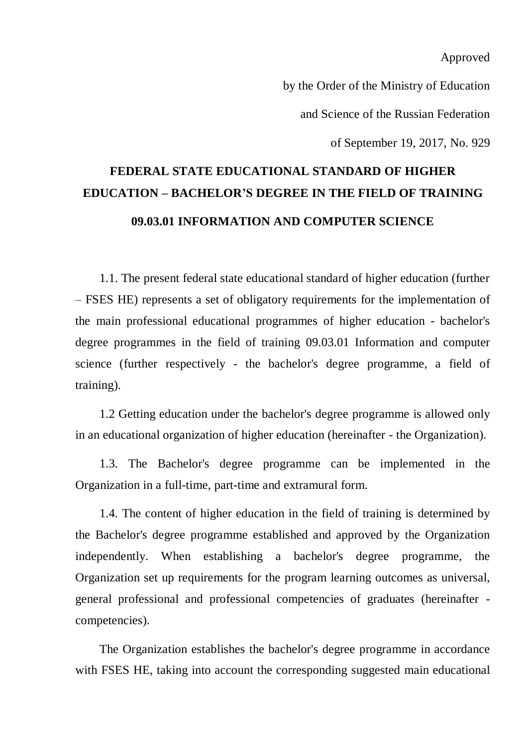Approved

by the Order of the Ministry of Education

and Science of the Russian Federation

of September 19, 2017, No. 929

# **FEDERAL STATE EDUCATIONAL STANDARD OF HIGHER EDUCATION – BACHELOR'S DEGREE IN THE FIELD OF TRAINING 09.03.01 INFORMATION AND COMPUTER SCIENCE**

1.1. The present federal state educational standard of higher education (further – FSES HE) represents a set of obligatory requirements for the implementation of the main professional educational programmes of higher education - bachelor's degree programmes in the field of training 09.03.01 Information and computer science (further respectively - the bachelor's degree programme, a field of training).

1.2 Getting education under the bachelor's degree programme is allowed only in an educational organization of higher education (hereinafter - the Organization).

1.3. The Bachelor's degree programme can be implemented in the Organization in a full-time, part-time and extramural form.

1.4. The content of higher education in the field of training is determined by the Bachelor's degree programme established and approved by the Organization independently. When establishing a bachelor's degree programme, the Organization set up requirements for the program learning outcomes as universal, general professional and professional competencies of graduates (hereinafter competencies).

The Organization establishes the bachelor's degree programme in accordance with FSES HE, taking into account the corresponding suggested main educational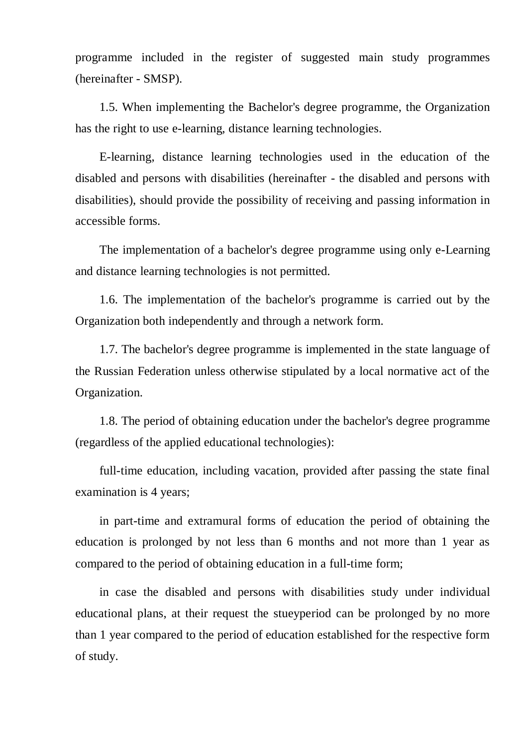programme included in the register of suggested main study programmes (hereinafter - SMSP).

1.5. When implementing the Bachelor's degree programme, the Organization has the right to use e-learning, distance learning technologies.

E-learning, distance learning technologies used in the education of the disabled and persons with disabilities (hereinafter - the disabled and persons with disabilities), should provide the possibility of receiving and passing information in accessible forms.

The implementation of a bachelor's degree programme using only e-Learning and distance learning technologies is not permitted.

1.6. The implementation of the bachelor's programme is carried out by the Organization both independently and through a network form.

1.7. The bachelor's degree programme is implemented in the state language of the Russian Federation unless otherwise stipulated by a local normative act of the Organization.

1.8. The period of obtaining education under the bachelor's degree programme (regardless of the applied educational technologies):

full-time education, including vacation, provided after passing the state final examination is 4 years;

in part-time and extramural forms of education the period of obtaining the education is prolonged by not less than 6 months and not more than 1 year as compared to the period of obtaining education in a full-time form;

in case the disabled and persons with disabilities study under individual educational plans, at their request the stueyperiod can be prolonged by no more than 1 year compared to the period of education established for the respective form of study.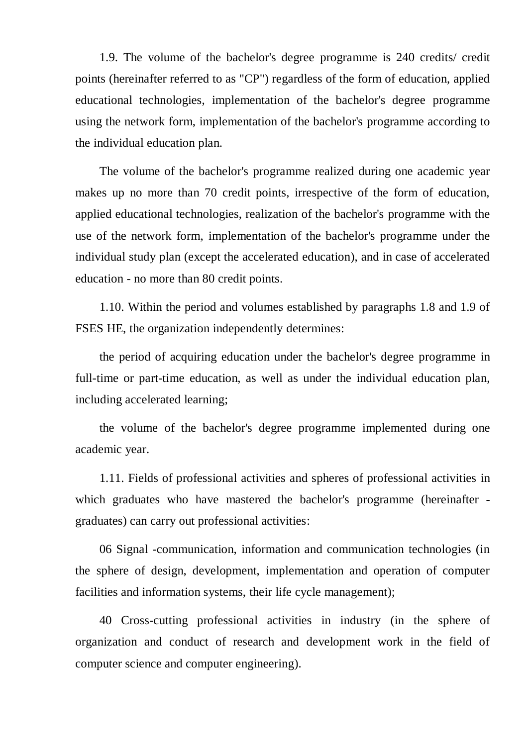1.9. The volume of the bachelor's degree programme is 240 credits/ credit points (hereinafter referred to as "CP") regardless of the form of education, applied educational technologies, implementation of the bachelor's degree programme using the network form, implementation of the bachelor's programme according to the individual education plan.

The volume of the bachelor's programme realized during one academic year makes up no more than 70 credit points, irrespective of the form of education, applied educational technologies, realization of the bachelor's programme with the use of the network form, implementation of the bachelor's programme under the individual study plan (except the accelerated education), and in case of accelerated education - no more than 80 credit points.

1.10. Within the period and volumes established by paragraphs 1.8 and 1.9 of FSES HE, the organization independently determines:

the period of acquiring education under the bachelor's degree programme in full-time or part-time education, as well as under the individual education plan, including accelerated learning;

the volume of the bachelor's degree programme implemented during one academic year.

1.11. Fields of professional activities and spheres of professional activities in which graduates who have mastered the bachelor's programme (hereinafter graduates) can carry out professional activities:

06 Signal -communication, information and communication technologies (in the sphere of design, development, implementation and operation of computer facilities and information systems, their life cycle management);

40 Cross-cutting professional activities in industry (in the sphere of organization and conduct of research and development work in the field of computer science and computer engineering).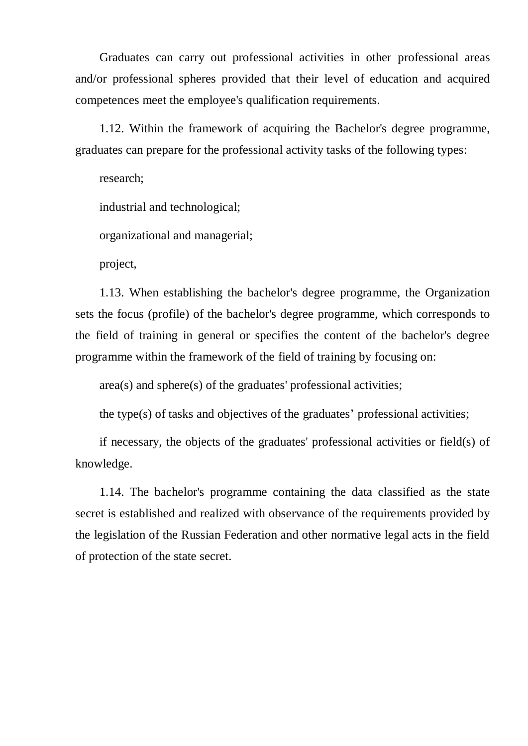Graduates can carry out professional activities in other professional areas and/or professional spheres provided that their level of education and acquired competences meet the employee's qualification requirements.

1.12. Within the framework of acquiring the Bachelor's degree programme, graduates can prepare for the professional activity tasks of the following types:

research;

industrial and technological;

organizational and managerial;

project,

1.13. When establishing the bachelor's degree programme, the Organization sets the focus (profile) of the bachelor's degree programme, which corresponds to the field of training in general or specifies the content of the bachelor's degree programme within the framework of the field of training by focusing on:

area(s) and sphere(s) of the graduates' professional activities;

the type(s) of tasks and objectives of the graduates' professional activities;

if necessary, the objects of the graduates' professional activities or field(s) of knowledge.

1.14. The bachelor's programme containing the data classified as the state secret is established and realized with observance of the requirements provided by the legislation of the Russian Federation and other normative legal acts in the field of protection of the state secret.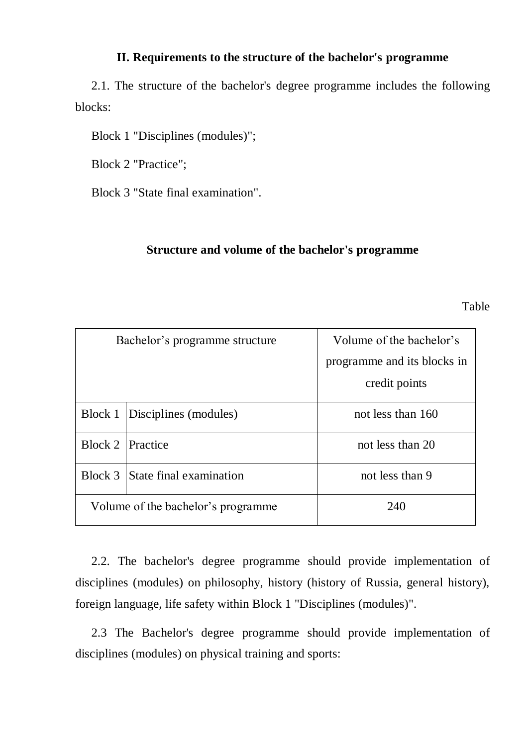#### **II. Requirements to the structure of the bachelor's programme**

2.1. The structure of the bachelor's degree programme includes the following blocks:

Block 1 "Disciplines (modules)";

Block 2 "Practice";

Block 3 "State final examination".

#### **Structure and volume of the bachelor's programme**

Table

| Bachelor's programme structure     |                         | Volume of the bachelor's    |
|------------------------------------|-------------------------|-----------------------------|
|                                    |                         | programme and its blocks in |
|                                    |                         | credit points               |
| Block 1                            | Disciplines (modules)   | not less than 160           |
| Block 2                            | <b>Practice</b>         | not less than 20            |
| Block 3                            | State final examination | not less than 9             |
| Volume of the bachelor's programme |                         | 240                         |

2.2. The bachelor's degree programme should provide implementation of disciplines (modules) on philosophy, history (history of Russia, general history), foreign language, life safety within Block 1 "Disciplines (modules)".

2.3 The Bachelor's degree programme should provide implementation of disciplines (modules) on physical training and sports: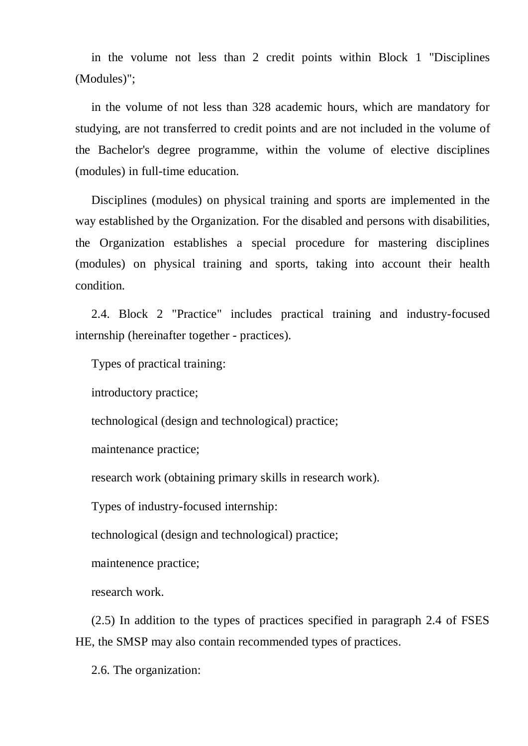in the volume not less than 2 credit points within Block 1 "Disciplines (Modules)";

in the volume of not less than 328 academic hours, which are mandatory for studying, are not transferred to credit points and are not included in the volume of the Bachelor's degree programme, within the volume of elective disciplines (modules) in full-time education.

Disciplines (modules) on physical training and sports are implemented in the way established by the Organization. For the disabled and persons with disabilities, the Organization establishes a special procedure for mastering disciplines (modules) on physical training and sports, taking into account their health condition.

2.4. Block 2 "Practice" includes practical training and industry-focused internship (hereinafter together - practices).

Types of practical training:

introductory practice;

technological (design and technological) practice;

maintenance practice;

research work (obtaining primary skills in research work).

Types of industry-focused internship:

technological (design and technological) practice;

maintenence practice;

research work.

(2.5) In addition to the types of practices specified in paragraph 2.4 of FSES HE, the SMSP may also contain recommended types of practices.

2.6. The organization: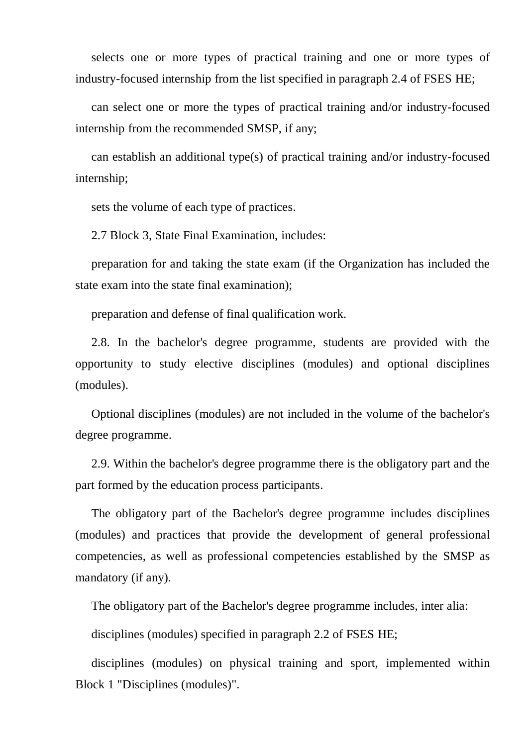selects one or more types of practical training and one or more types of industry-focused internship from the list specified in paragraph 2.4 of FSES HE;

can select one or more the types of practical training and/or industry-focused internship from the recommended SMSP, if any;

can establish an additional type(s) of practical training and/or industry-focused internship;

sets the volume of each type of practices.

2.7 Block 3, State Final Examination, includes:

preparation for and taking the state exam (if the Organization has included the state exam into the state final examination);

preparation and defense of final qualification work.

2.8. In the bachelor's degree programme, students are provided with the opportunity to study elective disciplines (modules) and optional disciplines (modules).

Optional disciplines (modules) are not included in the volume of the bachelor's degree programme.

2.9. Within the bachelor's degree programme there is the obligatory part and the part formed by the education process participants.

The obligatory part of the Bachelor's degree programme includes disciplines (modules) and practices that provide the development of general professional competencies, as well as professional competencies established by the SMSP as mandatory (if any).

The obligatory part of the Bachelor's degree programme includes, inter alia:

disciplines (modules) specified in paragraph 2.2 of FSES HE;

disciplines (modules) on physical training and sport, implemented within Block 1 "Disciplines (modules)".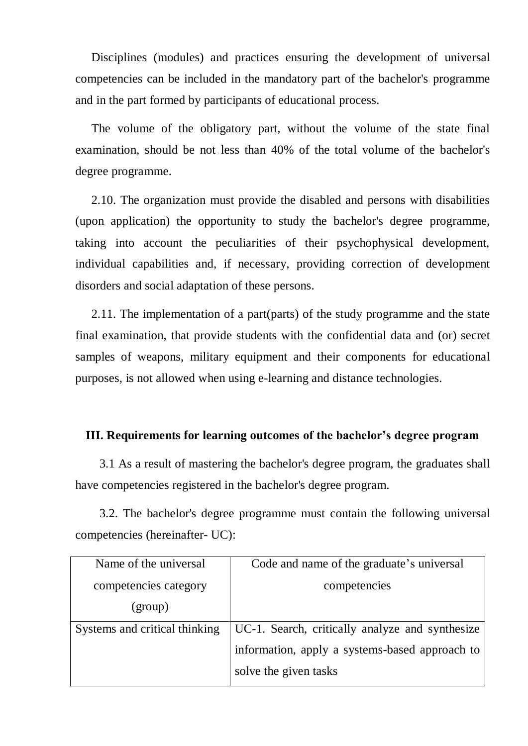Disciplines (modules) and practices ensuring the development of universal competencies can be included in the mandatory part of the bachelor's programme and in the part formed by participants of educational process.

The volume of the obligatory part, without the volume of the state final examination, should be not less than 40% of the total volume of the bachelor's degree programme.

2.10. The organization must provide the disabled and persons with disabilities (upon application) the opportunity to study the bachelor's degree programme, taking into account the peculiarities of their psychophysical development, individual capabilities and, if necessary, providing correction of development disorders and social adaptation of these persons.

2.11. The implementation of a part(parts) of the study programme and the state final examination, that provide students with the confidential data and (or) secret samples of weapons, military equipment and their components for educational purposes, is not allowed when using e-learning and distance technologies.

#### **III. Requirements for learning outcomes of the bachelor's degree program**

3.1 As a result of mastering the bachelor's degree program, the graduates shall have competencies registered in the bachelor's degree program.

3.2. The bachelor's degree programme must contain the following universal competencies (hereinafter- UC):

| Name of the universal         | Code and name of the graduate's universal       |
|-------------------------------|-------------------------------------------------|
| competencies category         | competencies                                    |
| (group)                       |                                                 |
| Systems and critical thinking | UC-1. Search, critically analyze and synthesize |
|                               | information, apply a systems-based approach to  |
|                               | solve the given tasks                           |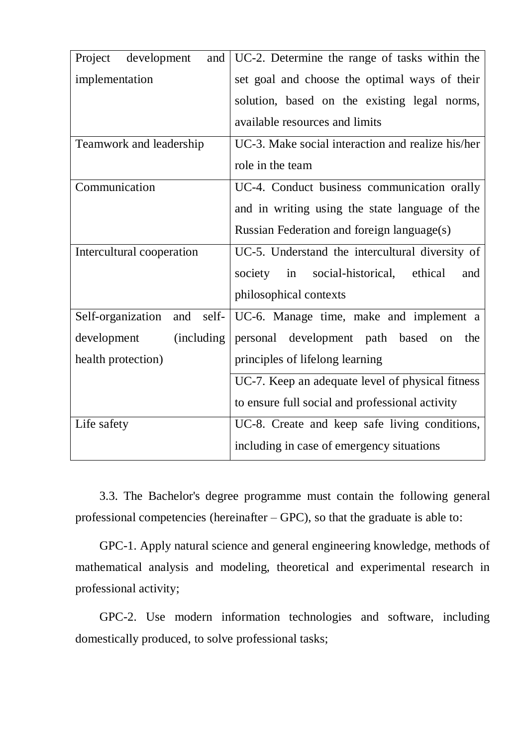| Project<br>development<br>and     | UC-2. Determine the range of tasks within the     |
|-----------------------------------|---------------------------------------------------|
| implementation                    | set goal and choose the optimal ways of their     |
|                                   | solution, based on the existing legal norms,      |
|                                   | available resources and limits                    |
| Teamwork and leadership           | UC-3. Make social interaction and realize his/her |
|                                   | role in the team                                  |
| Communication                     | UC-4. Conduct business communication orally       |
|                                   | and in writing using the state language of the    |
|                                   | Russian Federation and foreign language(s)        |
| Intercultural cooperation         | UC-5. Understand the intercultural diversity of   |
|                                   | society<br>in social-historical, ethical<br>and   |
|                                   | philosophical contexts                            |
| Self-organization<br>self-<br>and | UC-6. Manage time, make and implement a           |
| development<br>(including         | personal development path based<br>the<br>on      |
| health protection)                | principles of lifelong learning                   |
|                                   | UC-7. Keep an adequate level of physical fitness  |
|                                   | to ensure full social and professional activity   |
| Life safety                       | UC-8. Create and keep safe living conditions,     |
|                                   | including in case of emergency situations         |

3.3. The Bachelor's degree programme must contain the following general professional competencies (hereinafter – GPC), so that the graduate is able to:

GPC-1. Apply natural science and general engineering knowledge, methods of mathematical analysis and modeling, theoretical and experimental research in professional activity;

GPC-2. Use modern information technologies and software, including domestically produced, to solve professional tasks;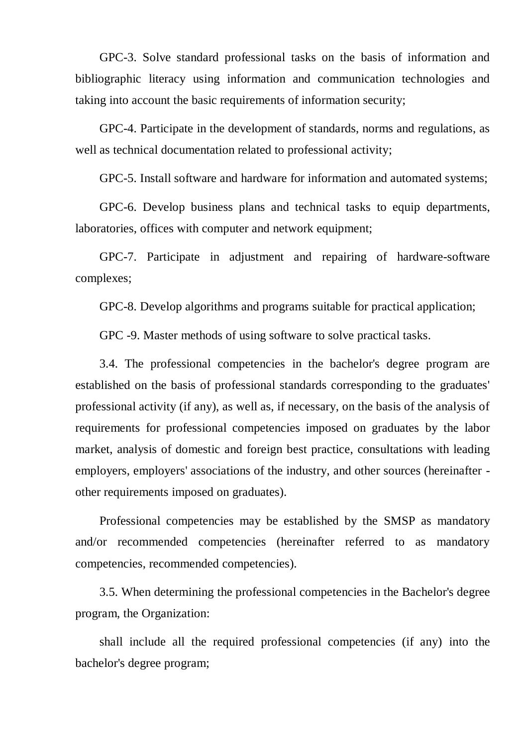GPC-3. Solve standard professional tasks on the basis of information and bibliographic literacy using information and communication technologies and taking into account the basic requirements of information security;

GPC-4. Participate in the development of standards, norms and regulations, as well as technical documentation related to professional activity;

GPC-5. Install software and hardware for information and automated systems;

GPC-6. Develop business plans and technical tasks to equip departments, laboratories, offices with computer and network equipment;

GPC-7. Participate in adjustment and repairing of hardware-software complexes;

GPC-8. Develop algorithms and programs suitable for practical application;

GPC -9. Master methods of using software to solve practical tasks.

3.4. The professional competencies in the bachelor's degree program are established on the basis of professional standards corresponding to the graduates' professional activity (if any), as well as, if necessary, on the basis of the analysis of requirements for professional competencies imposed on graduates by the labor market, analysis of domestic and foreign best practice, consultations with leading employers, employers' associations of the industry, and other sources (hereinafter other requirements imposed on graduates).

Professional competencies may be established by the SMSP as mandatory and/or recommended competencies (hereinafter referred to as mandatory competencies, recommended competencies).

3.5. When determining the professional competencies in the Bachelor's degree program, the Organization:

shall include all the required professional competencies (if any) into the bachelor's degree program;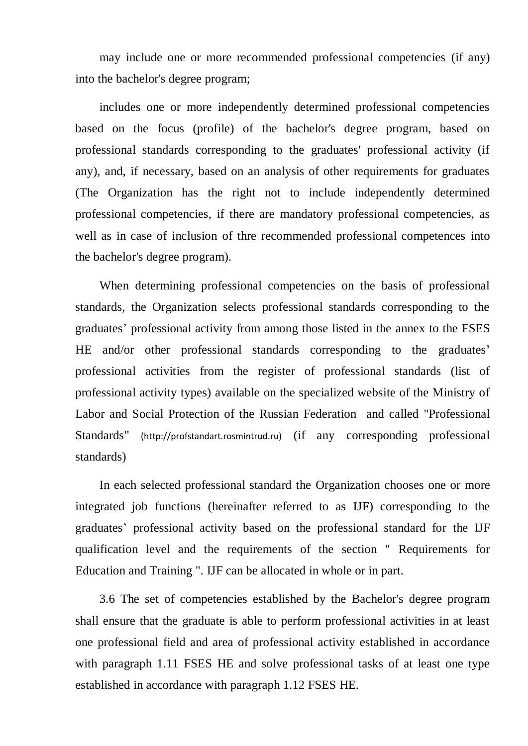may include one or more recommended professional competencies (if any) into the bachelor's degree program;

includes one or more independently determined professional competencies based on the focus (profile) of the bachelor's degree program, based on professional standards corresponding to the graduates' professional activity (if any), and, if necessary, based on an analysis of other requirements for graduates (The Organization has the right not to include independently determined professional competencies, if there are mandatory professional competencies, as well as in case of inclusion of thre recommended professional competences into the bachelor's degree program).

When determining professional competencies on the basis of professional standards, the Organization selects professional standards corresponding to the graduates' professional activity from among those listed in the annex to the FSES HE and/or other professional standards corresponding to the graduates' professional activities from the register of professional standards (list of professional activity types) available on the specialized website of the Ministry of Labor and Social Protection of the Russian Federation and called "Professional Standards" (http://profstandart.rosmintrud.ru) (if any corresponding professional standards)

In each selected professional standard the Organization chooses one or more integrated job functions (hereinafter referred to as IJF) corresponding to the graduates' professional activity based on the professional standard for the IJF qualification level and the requirements of the section " Requirements for Education and Training ". IJF can be allocated in whole or in part.

3.6 The set of competencies established by the Bachelor's degree program shall ensure that the graduate is able to perform professional activities in at least one professional field and area of professional activity established in accordance with paragraph 1.11 FSES HE and solve professional tasks of at least one type established in accordance with paragraph 1.12 FSES HE.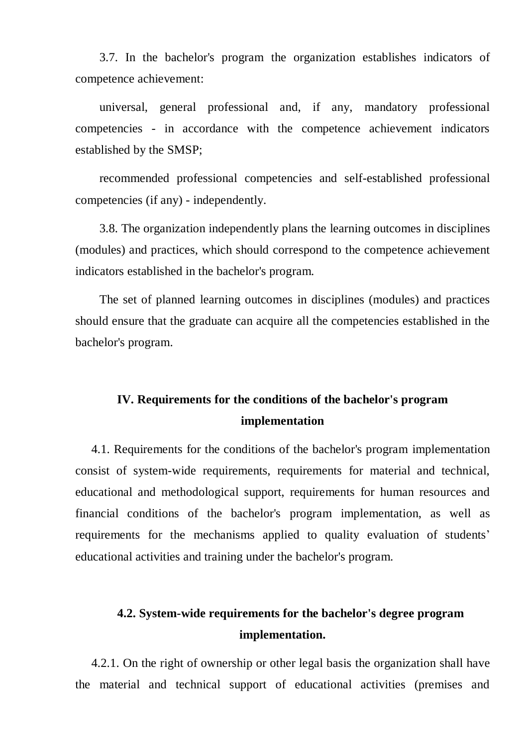3.7. In the bachelor's program the organization establishes indicators of competence achievement:

universal, general professional and, if any, mandatory professional competencies - in accordance with the competence achievement indicators established by the SMSP;

recommended professional competencies and self-established professional competencies (if any) - independently.

3.8. The organization independently plans the learning outcomes in disciplines (modules) and practices, which should correspond to the competence achievement indicators established in the bachelor's program.

The set of planned learning outcomes in disciplines (modules) and practices should ensure that the graduate can acquire all the competencies established in the bachelor's program.

## **IV. Requirements for the conditions of the bachelor's program implementation**

4.1. Requirements for the conditions of the bachelor's program implementation consist of system-wide requirements, requirements for material and technical, educational and methodological support, requirements for human resources and financial conditions of the bachelor's program implementation, as well as requirements for the mechanisms applied to quality evaluation of students' educational activities and training under the bachelor's program.

## **4.2. System-wide requirements for the bachelor's degree program implementation.**

4.2.1. On the right of ownership or other legal basis the organization shall have the material and technical support of educational activities (premises and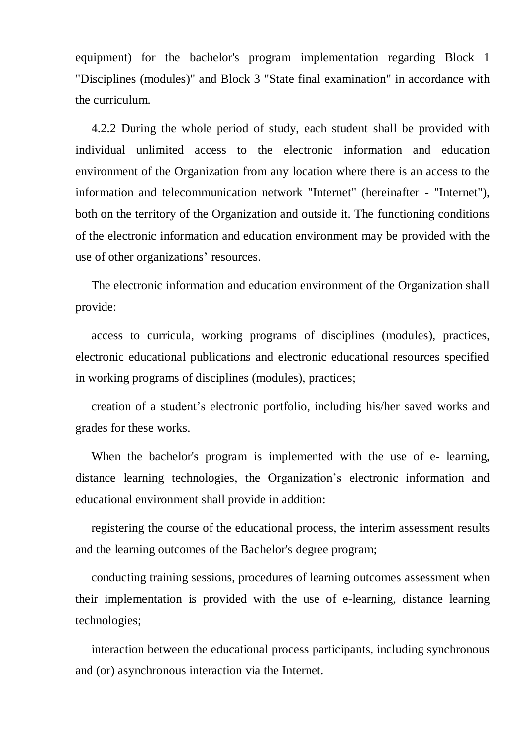equipment) for the bachelor's program implementation regarding Block 1 "Disciplines (modules)" and Block 3 "State final examination" in accordance with the curriculum.

4.2.2 During the whole period of study, each student shall be provided with individual unlimited access to the electronic information and education environment of the Organization from any location where there is an access to the information and telecommunication network "Internet" (hereinafter - "Internet"), both on the territory of the Organization and outside it. The functioning conditions of the electronic information and education environment may be provided with the use of other organizations' resources.

The electronic information and education environment of the Organization shall provide:

access to curricula, working programs of disciplines (modules), practices, electronic educational publications and electronic educational resources specified in working programs of disciplines (modules), practices;

creation of a student's electronic portfolio, including his/her saved works and grades for these works.

When the bachelor's program is implemented with the use of e- learning, distance learning technologies, the Organization's electronic information and educational environment shall provide in addition:

registering the course of the educational process, the interim assessment results and the learning outcomes of the Bachelor's degree program;

conducting training sessions, procedures of learning outcomes assessment when their implementation is provided with the use of e-learning, distance learning technologies;

interaction between the educational process participants, including synchronous and (or) asynchronous interaction via the Internet.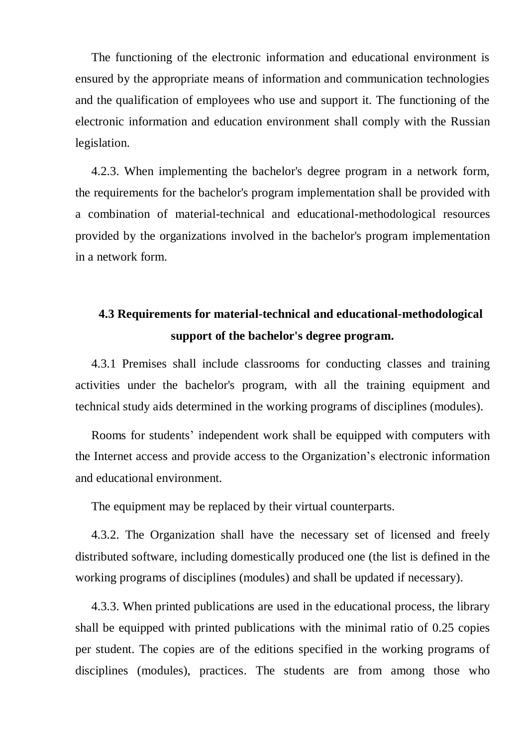The functioning of the electronic information and educational environment is ensured by the appropriate means of information and communication technologies and the qualification of employees who use and support it. The functioning of the electronic information and education environment shall comply with the Russian legislation.

4.2.3. When implementing the bachelor's degree program in a network form, the requirements for the bachelor's program implementation shall be provided with a combination of material-technical and educational-methodological resources provided by the organizations involved in the bachelor's program implementation in a network form.

## **4.3 Requirements for material-technical and educational-methodological support of the bachelor's degree program.**

4.3.1 Premises shall include classrooms for conducting classes and training activities under the bachelor's program, with all the training equipment and technical study aids determined in the working programs of disciplines (modules).

Rooms for students' independent work shall be equipped with computers with the Internet access and provide access to the Organization's electronic information and educational environment.

The equipment may be replaced by their virtual counterparts.

4.3.2. The Organization shall have the necessary set of licensed and freely distributed software, including domestically produced one (the list is defined in the working programs of disciplines (modules) and shall be updated if necessary).

4.3.3. When printed publications are used in the educational process, the library shall be equipped with printed publications with the minimal ratio of 0.25 copies per student. The copies are of the editions specified in the working programs of disciplines (modules), practices. The students are from among those who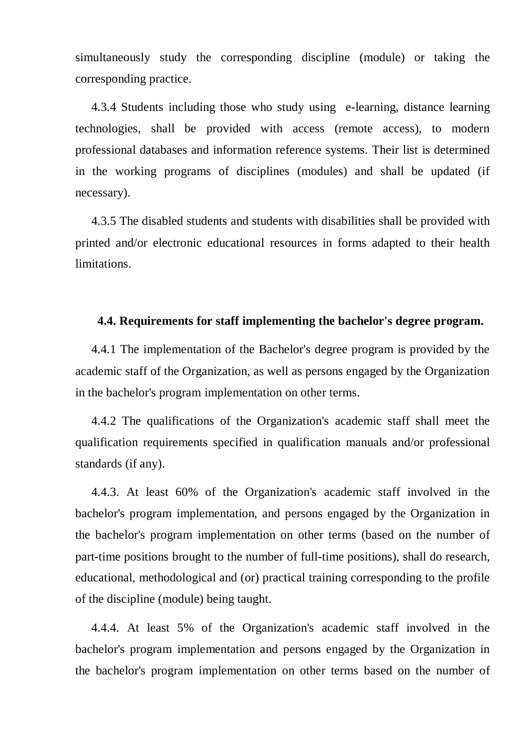simultaneously study the corresponding discipline (module) or taking the corresponding practice.

4.3.4 Students including those who study using e-learning, distance learning technologies, shall be provided with access (remote access), to modern professional databases and information reference systems. Their list is determined in the working programs of disciplines (modules) and shall be updated (if necessary).

4.3.5 The disabled students and students with disabilities shall be provided with printed and/or electronic educational resources in forms adapted to their health limitations.

#### **4.4. Requirements for staff implementing the bachelor's degree program.**

4.4.1 The implementation of the Bachelor's degree program is provided by the academic staff of the Organization, as well as persons engaged by the Organization in the bachelor's program implementation on other terms.

4.4.2 The qualifications of the Organization's academic staff shall meet the qualification requirements specified in qualification manuals and/or professional standards (if any).

4.4.3. At least 60% of the Organization's academic staff involved in the bachelor's program implementation, and persons engaged by the Organization in the bachelor's program implementation on other terms (based on the number of part-time positions brought to the number of full-time positions), shall do research, educational, methodological and (or) practical training corresponding to the profile of the discipline (module) being taught.

4.4.4. At least 5% of the Organization's academic staff involved in the bachelor's program implementation and persons engaged by the Organization in the bachelor's program implementation on other terms based on the number of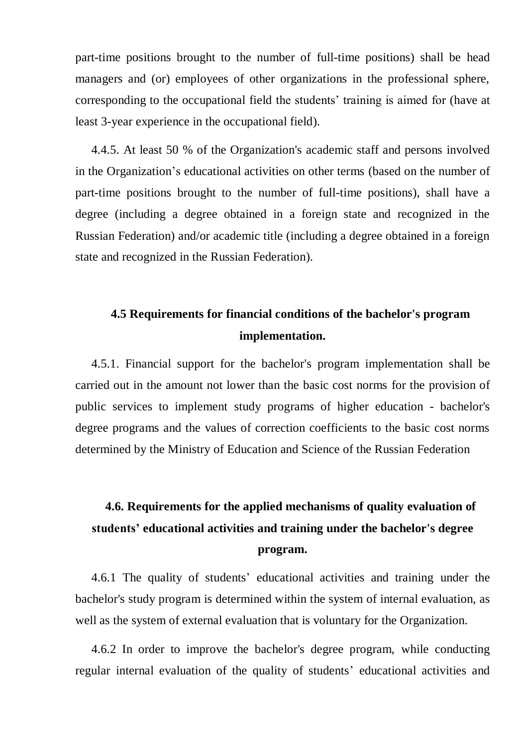part-time positions brought to the number of full-time positions) shall be head managers and (or) employees of other organizations in the professional sphere, corresponding to the occupational field the students' training is aimed for (have at least 3-year experience in the occupational field).

4.4.5. At least 50 % of the Organization's academic staff and persons involved in the Organization's educational activities on other terms (based on the number of part-time positions brought to the number of full-time positions), shall have a degree (including a degree obtained in a foreign state and recognized in the Russian Federation) and/or academic title (including a degree obtained in a foreign state and recognized in the Russian Federation).

## **4.5 Requirements for financial conditions of the bachelor's program implementation.**

4.5.1. Financial support for the bachelor's program implementation shall be carried out in the amount not lower than the basic cost norms for the provision of public services to implement study programs of higher education - bachelor's degree programs and the values of correction coefficients to the basic cost norms determined by the Ministry of Education and Science of the Russian Federation

## **4.6. Requirements for the applied mechanisms of quality evaluation of students' educational activities and training under the bachelor's degree program.**

4.6.1 The quality of students' educational activities and training under the bachelor's study program is determined within the system of internal evaluation, as well as the system of external evaluation that is voluntary for the Organization.

4.6.2 In order to improve the bachelor's degree program, while conducting regular internal evaluation of the quality of students' educational activities and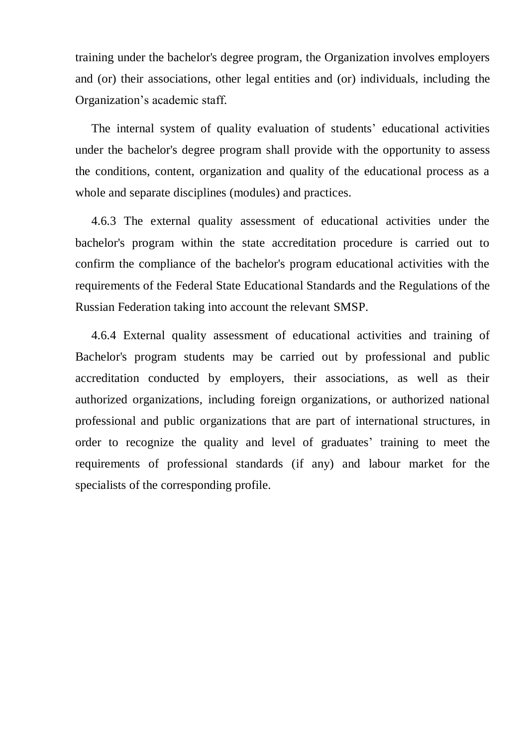training under the bachelor's degree program, the Organization involves employers and (or) their associations, other legal entities and (or) individuals, including the Organization's academic staff.

The internal system of quality evaluation of students' educational activities under the bachelor's degree program shall provide with the opportunity to assess the conditions, content, organization and quality of the educational process as a whole and separate disciplines (modules) and practices.

4.6.3 The external quality assessment of educational activities under the bachelor's program within the state accreditation procedure is carried out to confirm the compliance of the bachelor's program educational activities with the requirements of the Federal State Educational Standards and the Regulations of the Russian Federation taking into account the relevant SMSP.

4.6.4 External quality assessment of educational activities and training of Bachelor's program students may be carried out by professional and public accreditation conducted by employers, their associations, as well as their authorized organizations, including foreign organizations, or authorized national professional and public organizations that are part of international structures, in order to recognize the quality and level of graduates' training to meet the requirements of professional standards (if any) and labour market for the specialists of the corresponding profile.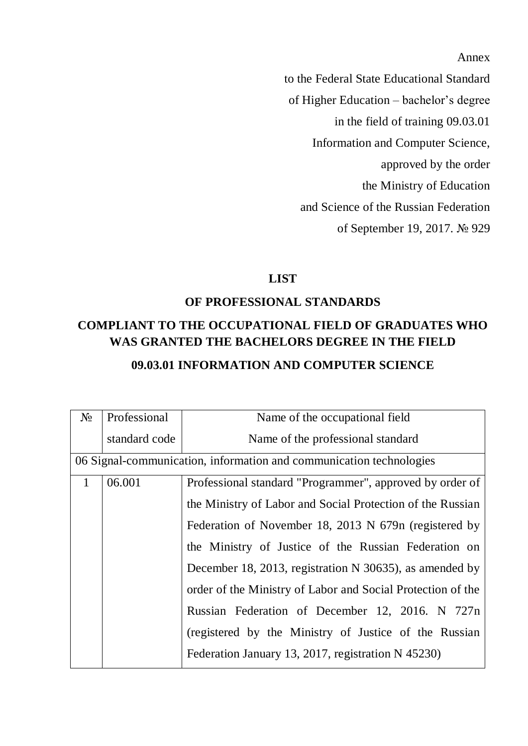Annex

to the Federal State Educational Standard of Higher Education – bachelor's degree in the field of training 09.03.01 Information and Computer Science, approved by the order the Ministry of Education and Science of the Russian Federation of September 19, 2017. № 929

#### **LIST**

### **OF PROFESSIONAL STANDARDS**

## **COMPLIANT TO THE OCCUPATIONAL FIELD OF GRADUATES WHO WAS GRANTED THE BACHELORS DEGREE IN THE FIELD**

### **09.03.01 INFORMATION AND COMPUTER SCIENCE**

| $N_{2}$      | Professional                                                        | Name of the occupational field                              |
|--------------|---------------------------------------------------------------------|-------------------------------------------------------------|
|              | standard code                                                       | Name of the professional standard                           |
|              | 06 Signal-communication, information and communication technologies |                                                             |
| $\mathbf{1}$ | 06.001                                                              | Professional standard "Programmer", approved by order of    |
|              |                                                                     | the Ministry of Labor and Social Protection of the Russian  |
|              |                                                                     | Federation of November 18, 2013 N 679n (registered by       |
|              |                                                                     | the Ministry of Justice of the Russian Federation on        |
|              |                                                                     | December 18, 2013, registration N 30635), as amended by     |
|              |                                                                     | order of the Ministry of Labor and Social Protection of the |
|              |                                                                     | Russian Federation of December 12, 2016. N 727n             |
|              |                                                                     | (registered by the Ministry of Justice of the Russian       |
|              |                                                                     | Federation January 13, 2017, registration N 45230)          |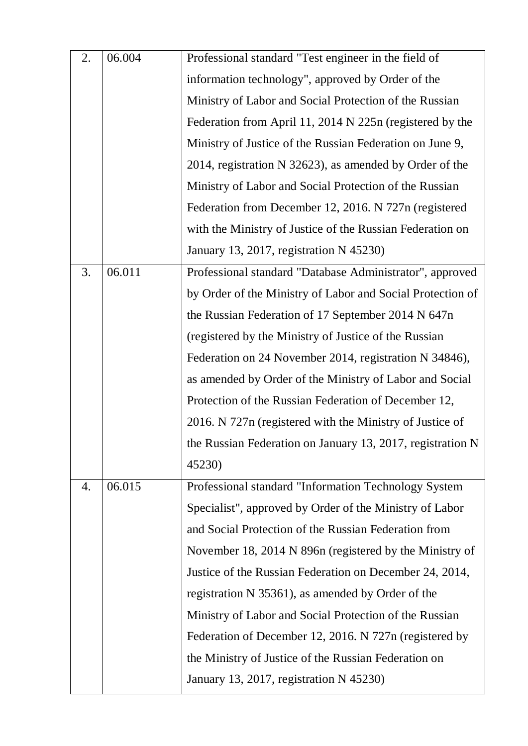| 2. | 06.004 | Professional standard "Test engineer in the field of       |
|----|--------|------------------------------------------------------------|
|    |        | information technology", approved by Order of the          |
|    |        | Ministry of Labor and Social Protection of the Russian     |
|    |        | Federation from April 11, 2014 N 225n (registered by the   |
|    |        | Ministry of Justice of the Russian Federation on June 9,   |
|    |        | 2014, registration N 32623), as amended by Order of the    |
|    |        | Ministry of Labor and Social Protection of the Russian     |
|    |        | Federation from December 12, 2016. N 727n (registered      |
|    |        | with the Ministry of Justice of the Russian Federation on  |
|    |        | January 13, 2017, registration N 45230)                    |
| 3. | 06.011 | Professional standard "Database Administrator", approved   |
|    |        | by Order of the Ministry of Labor and Social Protection of |
|    |        | the Russian Federation of 17 September 2014 N 647n         |
|    |        | (registered by the Ministry of Justice of the Russian      |
|    |        | Federation on 24 November 2014, registration N 34846),     |
|    |        | as amended by Order of the Ministry of Labor and Social    |
|    |        | Protection of the Russian Federation of December 12,       |
|    |        | 2016. N 727n (registered with the Ministry of Justice of   |
|    |        | the Russian Federation on January 13, 2017, registration N |
|    |        | 45230)                                                     |
| 4. | 06.015 | Professional standard "Information Technology System       |
|    |        | Specialist", approved by Order of the Ministry of Labor    |
|    |        | and Social Protection of the Russian Federation from       |
|    |        | November 18, 2014 N 896n (registered by the Ministry of    |
|    |        | Justice of the Russian Federation on December 24, 2014,    |
|    |        | registration N 35361), as amended by Order of the          |
|    |        | Ministry of Labor and Social Protection of the Russian     |
|    |        | Federation of December 12, 2016. N 727n (registered by     |
|    |        | the Ministry of Justice of the Russian Federation on       |
|    |        | January 13, 2017, registration N 45230)                    |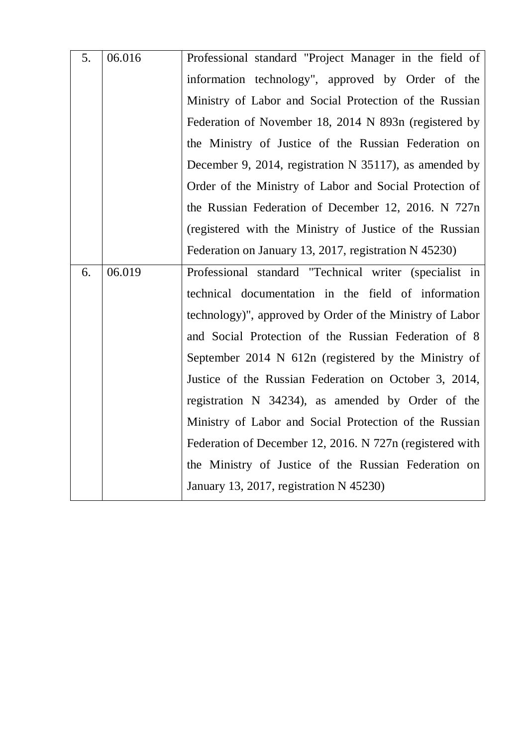| 5. | 06.016 | Professional standard "Project Manager in the field of   |
|----|--------|----------------------------------------------------------|
|    |        | information technology", approved by Order of the        |
|    |        | Ministry of Labor and Social Protection of the Russian   |
|    |        | Federation of November 18, 2014 N 893n (registered by    |
|    |        | the Ministry of Justice of the Russian Federation on     |
|    |        | December 9, 2014, registration N 35117), as amended by   |
|    |        | Order of the Ministry of Labor and Social Protection of  |
|    |        | the Russian Federation of December 12, 2016. N 727n      |
|    |        | (registered with the Ministry of Justice of the Russian  |
|    |        | Federation on January 13, 2017, registration N 45230)    |
| 6. | 06.019 | Professional standard "Technical writer (specialist in   |
|    |        | technical documentation in the field of information      |
|    |        | technology)", approved by Order of the Ministry of Labor |
|    |        | and Social Protection of the Russian Federation of 8     |
|    |        | September 2014 N 612n (registered by the Ministry of     |
|    |        |                                                          |
|    |        | Justice of the Russian Federation on October 3, 2014,    |
|    |        | registration N 34234), as amended by Order of the        |
|    |        | Ministry of Labor and Social Protection of the Russian   |
|    |        | Federation of December 12, 2016. N 727n (registered with |
|    |        | the Ministry of Justice of the Russian Federation on     |
|    |        | January 13, 2017, registration N 45230)                  |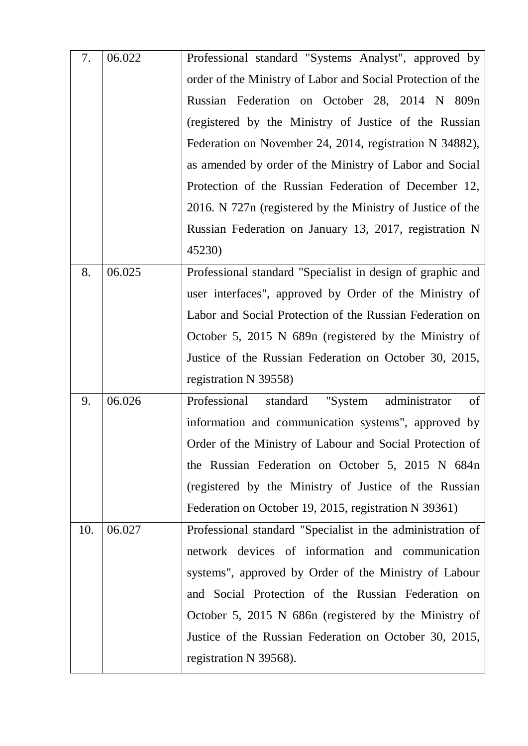| 7.  | 06.022 | Professional standard "Systems Analyst", approved by        |
|-----|--------|-------------------------------------------------------------|
|     |        | order of the Ministry of Labor and Social Protection of the |
|     |        | Russian Federation on October 28, 2014 N 809n               |
|     |        | (registered by the Ministry of Justice of the Russian       |
|     |        | Federation on November 24, 2014, registration N 34882),     |
|     |        | as amended by order of the Ministry of Labor and Social     |
|     |        | Protection of the Russian Federation of December 12,        |
|     |        | 2016. N 727n (registered by the Ministry of Justice of the  |
|     |        | Russian Federation on January 13, 2017, registration N      |
|     |        | 45230)                                                      |
| 8.  | 06.025 | Professional standard "Specialist in design of graphic and  |
|     |        | user interfaces", approved by Order of the Ministry of      |
|     |        | Labor and Social Protection of the Russian Federation on    |
|     |        | October 5, 2015 N 689n (registered by the Ministry of       |
|     |        | Justice of the Russian Federation on October 30, 2015,      |
|     |        | registration N 39558)                                       |
| 9.  | 06.026 | Professional<br>administrator<br>"System<br>of<br>standard  |
|     |        | information and communication systems", approved by         |
|     |        | Order of the Ministry of Labour and Social Protection of    |
|     |        | the Russian Federation on October 5, 2015 N 684n            |
|     |        | (registered by the Ministry of Justice of the Russian       |
|     |        | Federation on October 19, 2015, registration N 39361)       |
| 10. | 06.027 | Professional standard "Specialist in the administration of  |
|     |        | network devices of information and communication            |
|     |        | systems", approved by Order of the Ministry of Labour       |
|     |        | and Social Protection of the Russian Federation on          |
|     |        | October 5, 2015 N 686n (registered by the Ministry of       |
|     |        | Justice of the Russian Federation on October 30, 2015,      |
|     |        | registration N 39568).                                      |